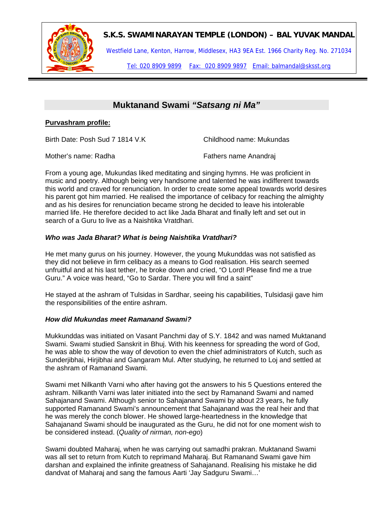

## **S.K.S. SWAMINARAYAN TEMPLE (LONDON) – BAL YUVAK MANDAL**

Westfield Lane, Kenton, Harrow, Middlesex, HA3 9EA Est. 1966 Charity Reg. No. 271034

Tel: 020 8909 9899 Fax: 020 8909 9897 Email: balmandal@sksst.org

# **Muktanand Swami** *"Satsang ni Ma"*

### **Purvashram profile:**

Birth Date: Posh Sud 7 1814 V.K Childhood name: Mukundas

Mother's name: Radha Fathers name Anandraj

From a young age, Mukundas liked meditating and singing hymns. He was proficient in music and poetry. Although being very handsome and talented he was indifferent towards this world and craved for renunciation. In order to create some appeal towards world desires his parent got him married. He realised the importance of celibacy for reaching the almighty and as his desires for renunciation became strong he decided to leave his intolerable married life. He therefore decided to act like Jada Bharat and finally left and set out in search of a Guru to live as a Naishtika Vratdhari.

#### *Who was Jada Bharat? What is being Naishtika Vratdhari?*

He met many gurus on his journey. However, the young Mukunddas was not satisfied as they did not believe in firm celibacy as a means to God realisation. His search seemed unfruitful and at his last tether, he broke down and cried, "O Lord! Please find me a true Guru." A voice was heard, "Go to Sardar. There you will find a saint"

He stayed at the ashram of Tulsidas in Sardhar, seeing his capabilities, Tulsidasji gave him the responsibilities of the entire ashram.

#### *How did Mukundas meet Ramanand Swami?*

Mukkunddas was initiated on Vasant Panchmi day of S.Y. 1842 and was named Muktanand Swami. Swami studied Sanskrit in Bhuj. With his keenness for spreading the word of God, he was able to show the way of devotion to even the chief administrators of Kutch, such as Sunderjibhai, Hirjibhai and Gangaram Mul. After studying, he returned to Loj and settled at the ashram of Ramanand Swami.

Swami met Nilkanth Varni who after having got the answers to his 5 Questions entered the ashram. Nilkanth Varni was later initiated into the sect by Ramanand Swami and named Sahajanand Swami. Although senior to Sahajanand Swami by about 23 years, he fully supported Ramanand Swami's announcement that Sahajanand was the real heir and that he was merely the conch blower. He showed large-heartedness in the knowledge that Sahajanand Swami should be inaugurated as the Guru, he did not for one moment wish to be considered instead. (*Quality of nirman, non-ego*)

Swami doubted Maharaj, when he was carrying out samadhi prakran. Muktanand Swami was all set to return from Kutch to reprimand Maharaj. But Ramanand Swami gave him darshan and explained the infinite greatness of Sahajanand. Realising his mistake he did dandvat of Maharaj and sang the famous Aarti 'Jay Sadguru Swami…'